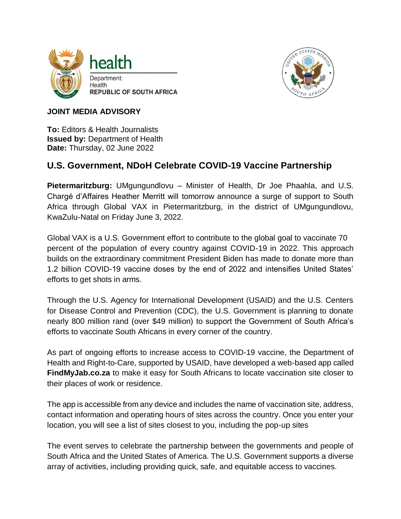



## **JOINT MEDIA ADVISORY**

**To:** Editors & Health Journalists **Issued by:** Department of Health **Date:** Thursday, 02 June 2022

## **U.S. Government, NDoH Celebrate COVID-19 Vaccine Partnership**

**Pietermaritzburg:** UMgungundlovu – Minister of Health, Dr Joe Phaahla, and U.S. Chargé d'Affaires Heather Merritt will tomorrow announce a surge of support to South Africa through Global VAX in Pietermaritzburg, in the district of UMgungundlovu, KwaZulu-Natal on Friday June 3, 2022.

Global VAX is a U.S. Government effort to contribute to the global goal to vaccinate 70 percent of the population of every country against COVID-19 in 2022. This approach builds on the extraordinary commitment President Biden has made to donate more than 1.2 billion COVID-19 vaccine doses by the end of 2022 and intensifies United States' efforts to get shots in arms.

Through the U.S. Agency for International Development (USAID) and the U.S. Centers for Disease Control and Prevention (CDC), the U.S. Government is planning to donate nearly 800 million rand (over \$49 million) to support the Government of South Africa's efforts to vaccinate South Africans in every corner of the country.

As part of ongoing efforts to increase access to COVID-19 vaccine, the Department of Health and Right-to-Care, supported by USAID, have developed a web-based app called **FindMyJab.co.za** to make it easy for South Africans to locate vaccination site closer to their places of work or residence.

The app is accessible from any device and includes the name of vaccination site, address, contact information and operating hours of sites across the country. Once you enter your location, you will see a list of sites closest to you, including the pop-up sites

The event serves to celebrate the partnership between the governments and people of South Africa and the United States of America. The U.S. Government supports a diverse array of activities, including providing quick, safe, and equitable access to vaccines.